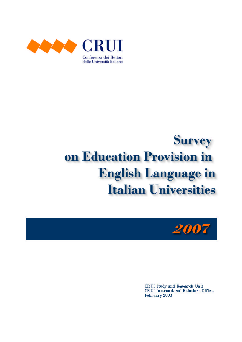

# **Survey** on Education Provision in **English Language in Italian Universities**



**CRUI Study and Research Unit** CRUI International Relations Office. February 2008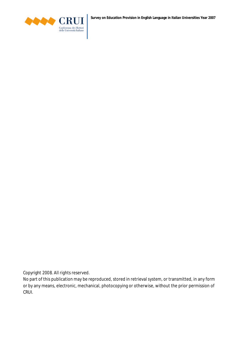

**Survey on Education Provision in English Language in Italian Universities Year 2007**

Copyright 2008. All rights reserved.

No part of this publication may be reproduced, stored in retrieval system, or transmitted, in any form or by any means, electronic, mechanical, photocopying or otherwise, without the prior permission of CRUI.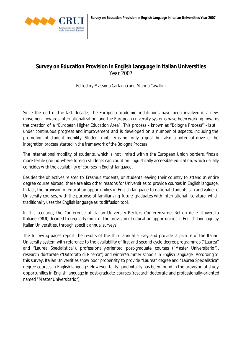

# **Survey on Education Provision in English Language in Italian Universities** *Year 2007*

Edited by Massimo Carfagna and Marina Cavallini

Since the end of the last decade, the European academic institutions have been involved in a new movement towards internationalization, and the European university systems have been working towards the creation of a "European Higher Education Area". This process – known as "Bologna Process" - is still under continuous progress and improvement and is developed on a number of aspects, including the promotion of student mobility. Student mobility is not only a goal, but also a potential drive of the integration process started in the framework of the Bologna Process.

The international mobility of students, which is not limited within the European Union borders, finds a more fertile ground where foreign students can count on linguistically accessible education, which usually coincides with the availability of courses in English language.

Besides the objectives related to *Erasmus* students, or students leaving their country to attend an entire degree course abroad, there are also other reasons for Universities to provide courses in English language. In fact, the provision of education opportunities in English language to national students can add value to University courses, with the purpose of familiarizing future graduates with international literature, which traditionally uses the English language as its diffusion tool.

In this scenario, the Conference of Italian University Rectors Conferenza dei Rettori delle Università Italiane-CRUI) decided to regularly monitor the provision of education opportunities in English language by Italian Universities, through specific annual surveys.

The following pages report the results of the third annual survey and provide a picture of the Italian University system with reference to the availability of first and second cycle degree programmes ("Laurea" and "Laurea Specialistica"), professionally-oriented post-graduate courses ("Master Universitario"), research doctorate ("Dottorato di Ricerca") and winter/summer schools in English language. According to this survey, Italian Universities show poor propensity to provide "Laurea" degree and "Laurea Specialistica" degree courses in English language. However, fairly good vitality has been found in the provision of study opportunities in English language in post-graduate courses (research doctorate and professionally-oriented named "Master Universitario").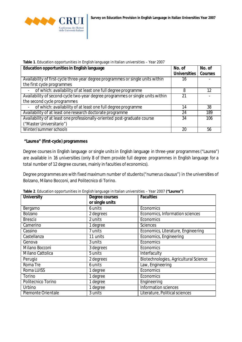

|  |  |  |  | Table 1. Education opportunities in English language in Italian universities - Year 2007 |
|--|--|--|--|------------------------------------------------------------------------------------------|
|--|--|--|--|------------------------------------------------------------------------------------------|

| <b>Education opportunities in English language</b>                              | No. of              | No. of         |
|---------------------------------------------------------------------------------|---------------------|----------------|
|                                                                                 | <b>Universities</b> | <b>Courses</b> |
| Availability of first-cycle three-year degree programmes or single units within | 16                  |                |
| the first cycle programmes                                                      |                     |                |
| of which: availability of at least one full degree programme                    | 8                   | 12             |
| Availability of second-cycle two-year degree programmes or single units within  | 21                  |                |
| the second cycle programmes                                                     |                     |                |
| of which: availability of at least one full degree programme                    | 14                  | 38             |
| Availability of at least one research doctorate programme                       | 24                  | 189            |
| Availability of at least one professionally-oriented post-graduate course       | 34                  | 106            |
| ("Master Universitario")                                                        |                     |                |
| Winter/summer schools                                                           | 20                  | 56             |

#### **"Laurea" (first-cycle) programmes**

Degree courses in English language or single units in English language in three-year programmes ("Laurea") are available in 16 universities (only 8 of them provide full degree programmes in English language for a total number of 12 degree courses, mainly in faculties of economics).

Degree programmes are with fixed maximum number of students ("numerus clausus") in the universities of Bolzano, Milano Bocconi, and Politecnico di Torino.

| <b>University</b>  | Degree courses  | <b>Faculties</b>                      |
|--------------------|-----------------|---------------------------------------|
|                    | or single units |                                       |
| Bergamo            | 6 units         | Economics                             |
| <b>Bolzano</b>     | 2 degrees       | Economics, Information sciences       |
| <b>Brescia</b>     | 2 units         | Economics                             |
| Camerino           | 1 degree        | <b>Sciences</b>                       |
| Cassino            | 7 units         | Economics, Literature, Engineering    |
| Castellanza        | 11 units        | Economics, Engineering                |
| Genova             | 3 units         | Economics                             |
| Milano Bocconi     | 3 degrees       | Economics                             |
| Milano Cattolica   | 5 units         | Interfaculty                          |
| Perugia            | 2 degrees       | Biotechnologies, Agricultural Science |
| Roma Tre           | 6 units         | Law, Engineering                      |
| Roma LUISS         | 1 degree        | Economics                             |
| Torino             | 1 degree        | Economics                             |
| Politecnico Torino | 1 degree        | Engineering                           |
| Urbino             | 1 degree        | Information sciences                  |
| Piemonte Orientale | 3 units         | Literature, Political sciences        |

**Table 2**. Education opportunities in English language in Italian universities – Year 2007 **("Laurea")**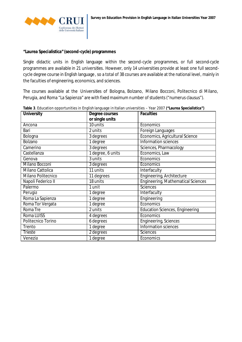

#### **"Laurea Specialistica" (second-cycle) programmes**

Single didactic units in English language within the second-cycle programmes, or full second-cycle programmes are available in 21 universities. However, only 14 universities provide at least one full secondcycle degree course in English language, so a total of 38 courses are available at the national level, mainly in the faculties of engineering, economics, and sciences.

The courses available at the Universities of Bologna, Bolzano, Milano Bocconi, Politecnico di Milano, Perugia, and Roma "La Sapienza" are with fixed maximum number of students("numerus clausus").

| <b>University</b>  | Degree courses    | <b>Faculties</b>                          |
|--------------------|-------------------|-------------------------------------------|
|                    | or single units   |                                           |
| Ancona             | $10$ units        | Economics                                 |
| Bari               | 2 units           | Foreign Languages                         |
| Bologna            | 3 degrees         | Economics, Agricultural Science           |
| Bolzano            | 1 degree          | Information sciences                      |
| Camerino           | 3 degrees         | Sciences, Pharmacology                    |
| Castellanza        | 1 degree, 6 units | Economics, Law                            |
| Genova             | 3 units           | Economics                                 |
| Milano Bocconi     | 3 degrees         | Economics                                 |
| Milano Cattolica   | 11 units          | Interfaculty                              |
| Milano Politecnico | 11 degrees        | Engineering, Architecture                 |
| Napoli Federico II | 18 units          | <b>Engineering, Mathematical Sciences</b> |
| Palermo            | 1 unit            | <b>Sciences</b>                           |
| Perugia            | 1 degree          | Interfaculty                              |
| Roma La Sapienza   | 1 degree          | Engineering                               |
| Roma Tor Vergata   | 1 degree          | Economics                                 |
| Roma Tre           | 2 units           | <b>Education Sciences, Engineering</b>    |
| Roma LUISS         | 4 degrees         | Economics                                 |
| Politecnico Torino | 6 degrees         | <b>Engineering, Sciences</b>              |
| Trento             | 1 degree          | Information sciences                      |
| <b>Trieste</b>     | 2 degrees         | <b>Sciences</b>                           |
| Venezia            | 1 degree          | Economics                                 |

**Table 3**. Education opportunities in English language in Italian universities – Year 2007 **("Laurea Specialistica")**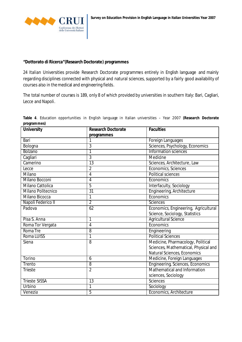

#### **"Dottorato di Ricerca"(Research Doctorate) programmes**

24 Italian Universities provide Research Doctorate programmes entirely in English language and mainly regarding disciplines connected with physical and natural sciences, supported by a fairly good availability of courses also in the medical and engineering fields.

The total number of courses is 189, only 8 of which provided by universities in southern Italy: Bari, Cagliari, Lecce and Napoli.

|             |  | Table 4. Education opportunities in English language in Italian universities - Year 2007 (Research Doctorate |  |  |  |  |  |  |
|-------------|--|--------------------------------------------------------------------------------------------------------------|--|--|--|--|--|--|
| programmes) |  |                                                                                                              |  |  |  |  |  |  |

| <b>University</b>       | <b>Research Doctorate</b> | <b>Faculties</b>                        |
|-------------------------|---------------------------|-----------------------------------------|
|                         | programmes                |                                         |
| Bari                    |                           | Foreign Languages                       |
| Bologna                 | 3                         | Sciences, Psychology, Economics         |
| <b>Bolzano</b>          | 1                         | Information sciences                    |
| Cagliari                | $\overline{3}$            | Medidne                                 |
| Camerino                | $\overline{13}$           | Sciences, Architecture, Law             |
| Lecce                   | $\overline{2}$            | Economics, Sciences                     |
| Milano                  | $\overline{4}$            | <b>Political sciences</b>               |
| Milano Bocconi          | $\overline{4}$            | Economics                               |
| <b>Milano Cattolica</b> | 5                         | Interfaculty, Sociology                 |
| Milano Politecnico      | $\overline{31}$           | Engineering, Architecture               |
| Milano Bicocca          | 1                         | Economics                               |
| Napoli Federico II      | $\overline{2}$            | <b>Sciences</b>                         |
| Padova                  | 62                        | Economics, Engineering, Agricultural    |
|                         |                           | Science, Sociology, Statistics          |
| Pisa S. Anna            | 1                         | <b>Agricultural Science</b>             |
| Roma Tor Vergata        | $\overline{4}$            | Economics                               |
| Roma Tre                | 8                         | Engineering                             |
| Roma LUISS              | 1                         | <b>Political Sciences</b>               |
| Siena                   | 8                         | Medicine, Pharmacology, Political       |
|                         |                           | Sciences, Mathematical, Physical and    |
|                         |                           | Natural Sciences, Economics             |
| <b>Torino</b>           | 6                         | Medicine, Foreign Languages             |
| Trento                  | $\overline{8}$            | <b>Engineering, Sciences, Economics</b> |
| <b>Trieste</b>          | $\overline{2}$            | <b>Mathematical and Information</b>     |
|                         |                           | sciences, Sociology                     |
| <b>Trieste SISSA</b>    | 13                        | Sciences                                |
| Urbino                  | 1                         | Sociology                               |
| Venezia                 | $\overline{5}$            | Economics, Architecture                 |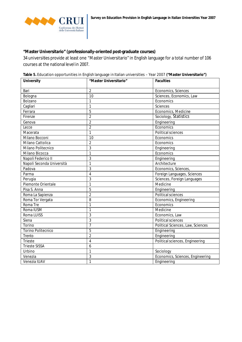#### **"Master Universitario" (professionally-oriented post-graduate courses)**

34 universities provide at least one "Master Universitario" in English language for a total number of 106 courses at the national level in 2007.

**Table 5.** Education opportunities in English language in Italian universities – Year 2007 **("Master Universitario")**

| <b>University</b>         | "Master Universitario" | <b>Faculties</b>                  |
|---------------------------|------------------------|-----------------------------------|
| Bari                      | $\overline{2}$         | Economics, Sciences               |
| Bologna                   | 10                     | Sciences, Economics, Law          |
| Bolzano                   | $\mathbf{1}$           | Economics                         |
| Cagliari                  | $\mathbf{1}$           | <b>Sciences</b>                   |
| Ferrara                   | 5                      | Economics, Medicine               |
| Firenze                   | $\overline{2}$         | Sociology, Statistics             |
| Genova                    | $\overline{2}$         | Engineering                       |
| Lecce                     | $\overline{2}$         | Economics                         |
| Macerata                  | $\mathbf{1}$           | <b>Political sciences</b>         |
| Milano Bocconi            | 10                     | Economics                         |
| Milano Cattolica          | $\overline{2}$         | Economics                         |
| Milano Politecnico        | $\overline{3}$         | Engineering                       |
| Milano Bicocca            | $\mathbf{1}$           | Economics                         |
| Napoli Federico II        | 3                      | Engineering                       |
| Napoli Seconda Università | $\mathbf{1}$           | Architecture                      |
| Padova                    | 3                      | Economics, Sciences               |
| Parma                     | $\overline{4}$         | Foreign Languages, Sciences       |
| Perugia                   | 3                      | Sciences, Foreign Languages       |
| Piemonte Orientale        | $\mathbf{1}$           | Medicine                          |
| Pisa S. Anna              | 5                      | Engineering                       |
| Roma La Sapienza          | $\overline{2}$         | <b>Political sciences</b>         |
| Roma Tor Vergata          | 8                      | Economics, Engineering            |
| Roma Tre                  | $\overline{1}$         | Economics                         |
| Roma IUSM                 | $\mathbf{1}$           | Medicine                          |
| Roma LUISS                | 3                      | Economics, Law                    |
| Siena                     | $\overline{3}$         | Political sciences                |
| Torino                    | $\overline{7}$         | Political Sciences, Law, Sciences |
| <b>Torino Politecnico</b> | 5                      | Engineering                       |
| Trento                    | $\overline{2}$         | Engineering                       |
| Trieste                   | $\overline{4}$         | Political sciences, Engineering   |
| <b>Trieste SISSA</b>      | 6                      |                                   |
| Urbino                    | $\mathbf{1}$           | Sociology                         |
| Venezia                   | 3                      | Economics, Sciences, Engineering  |
| Venezia IUAV              | $\mathbf{1}$           | Engineering                       |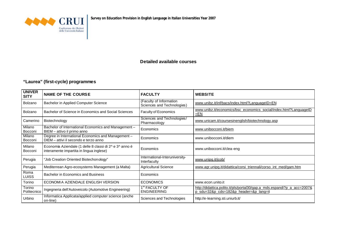

#### **Detailed available courses**

### **"Laurea" (first-cycle) programmes**

| <b>UNIVER</b><br><b>SITY</b> | <b>NAME OF THE COURSE</b>                                                                          | <b>FACULTY</b>                                        | <b>WEBSITE</b>                                                                                                    |
|------------------------------|----------------------------------------------------------------------------------------------------|-------------------------------------------------------|-------------------------------------------------------------------------------------------------------------------|
| Bolzano                      | Bachelor in Applied Computer Science                                                               | (Faculty of Information<br>Sciences and Technologies) | www.unibz.it/inf/bacs/index.html?LanguageID=EN                                                                    |
| Bolzano                      | Bachelor of Science in Economics and Social Sciences                                               | <b>Faculty of Economics</b>                           | www.unibz.it/economics/bsc_economics_social/index.html?LanquageID<br>$E_{N}$                                      |
| Camerino                     | Biotechnology                                                                                      | Sciences and Technologies/<br>Pharmacology            | www.unicam.it/coursesinenglish/biotechnology.asp                                                                  |
| Milano<br>Bocconi            | Bachelor of International Economics and Management-<br>BIEM - attivo il primo anno                 | Economics                                             | www.unibocconi.it/biem                                                                                            |
| Milano<br>Bocconi            | Degree in International Economics and Management -<br>DIEM - attivi il secondo e terzo anno        | Economics                                             | www.unibocconi.it/diem                                                                                            |
| Milano<br>Bocconi            | Economia Aziendale (1 delle 8 classi di 2^ e 3^ anno è<br>interamente impartita in lingua inglese) | Economics                                             | www.unibocconi.it/clea-eng                                                                                        |
| Perugia                      | "Job Creation Oriented Biotechonology"                                                             | International-Interuniversity-<br>Interfaculty        | www.unipg.it/jcob/                                                                                                |
| Perugia                      | Mediterrean Agro-ecosystems Management (a Malta)                                                   | <b>Agricultural Science</b>                           | www.agr.unipg.it/didattica/corsi_triennali/corso_int_med/gam.htm                                                  |
| Roma<br>LUISS                | Bachelor in Economics and Business                                                                 | Economics                                             |                                                                                                                   |
| Torino                       | ECONOMIA AZIENDALE ENGLISH VERSION                                                                 | <b>ECONOMICS</b>                                      | www.econ.unito.it                                                                                                 |
| Torino<br>Politecnico        | Ingegneria dell'Autoveicolo (Automotive Engineering)                                               | 1 <sup>st</sup> FACULTY OF<br><b>ENGINEERING</b>      | http://didattica.polito.it/pls/portal30/gap.a mds.espandi?p a acc=2007&<br>p sdu=32&p cds=182&p header=&p lang=it |
| Urbino                       | Informatica Applicata/applied computer science (anche<br>on-line)                                  | Sciences and Technologies                             | http://e-learning.sti.uniurb.it/                                                                                  |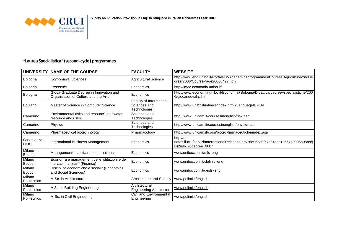

# **"Laurea Specialistica" (second-cycle) programmes**

|                            | UNIVERSITY NAME OF THE COURSE                                                   | <b>FACULTY</b>                                          | <b>WEBSITE</b>                                                                                                           |
|----------------------------|---------------------------------------------------------------------------------|---------------------------------------------------------|--------------------------------------------------------------------------------------------------------------------------|
| Bologna                    | <b>Horticultural Sciences</b>                                                   | <b>Agricultural Science</b>                             | http://www.eng.unibo.it/PortaleEn/Academic+programmes/Courses/Agriculture/2ndDe<br>gree/2006/CoursePage20060427.htm      |
| Bologna                    | Economia                                                                        | Economics                                               | http://Imec.economia.unibo.it/                                                                                           |
| Bologna                    | Gioca-Graduate Degree in Innovation and<br>Organization of Culture and the Arts | Economics                                               | http://www.economia.unibo.it/Economia+Bologna/Didattica/Lauree+specialistiche/200<br>6/giocanuovahp.htm                  |
| Bolzano                    | Master of Science in Computer Science                                           | Faculty of Information<br>Sciences and<br>Technologies) | http://www.unibz.it/inf/mcs/index.html?LanguageID=EN                                                                     |
| Camerino                   | Environmental risks and resourcSles: "water:<br>resource and risks"             | Sciences and<br>Technologies                            | http://www.unicam.it/coursesinenglish/risk.asp                                                                           |
| Camerino                   | Physics                                                                         | Sciences and<br>Technologies                            | http://www.unicam.it/coursesinenglish/physics.asp                                                                        |
| Camerino                   | Pharmaceutical biotechnology                                                    | Pharmacology                                            | http://www.unicam.it/corsi/biotec-farmaceutiche/index.asp                                                                |
| Castellanza<br><b>LIUC</b> | International Business Management                                               | Economics                                               | http://nt-<br>notes.liuc.it/servizi/InternationalRelations.nsf/c6d95ba0f57aa4cac12567b0005a08ba/(<br>B)2nd%20degree_0607 |
| Milano<br>Bocconi          | Management* - curriculum International                                          | Economics                                               | www.unibocconi.it/mls-eng                                                                                                |
| Milano<br>Bocconi          | Economia e management delle istituzioni e dei<br>mercati finanziari* (Finance)  | Economics                                               | www.unibocconi.it/clefinls-eng                                                                                           |
| Milano<br>Bocconi          | Discipline economiche e sociali* (Economics<br>and Social Sciences)             | Economics                                               | www.unibocconi.it/desls-eng                                                                                              |
| Milano<br>Politecnico      | M.Sc. in Architecture                                                           | Architecture and Society                                | www.polimi.it/english                                                                                                    |
| Milano<br>Politecnico      | M.Sc. in Building Engineering                                                   | Architectural<br><b>Engineering Architecture</b>        | www.polimi.it/english                                                                                                    |
| Milano<br>Politecnico      | M.Sc. in Civil Engineering                                                      | Civil and Environmental<br>Engineering                  | www.polimi.it/english                                                                                                    |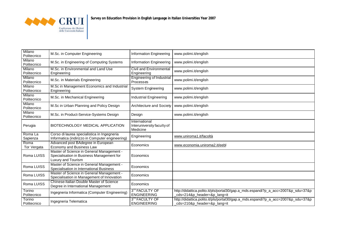

| Milano<br>Politecnico | M.Sc. in Computer Engineering                                                                                | <b>Information Engineering</b>                          | www.polimi.it/english                                                                                            |
|-----------------------|--------------------------------------------------------------------------------------------------------------|---------------------------------------------------------|------------------------------------------------------------------------------------------------------------------|
| Milano<br>Politecnico | M.Sc. in Engineering of Computing Systems                                                                    | <b>Information Engineering</b>                          | www.polimi.it/english                                                                                            |
| Milano<br>Politecnico | M.Sc. in Environmental and Land Use<br>Engineering                                                           | <b>Civil and Environmental</b><br>Engineering           | www.polimi.it/english                                                                                            |
| Milano<br>Politecnico | M.Sc. in Materials Engineering                                                                               | <b>Engineering of Industrial</b><br>Processes           | www.polimi.it/english                                                                                            |
| Milano<br>Politecnico | M.Sc in Management Economics and Industrial<br>Engineering                                                   | <b>System Engineering</b>                               | www.polimi.it/english                                                                                            |
| Milano<br>Politecnico | M.Sc. in Mechanical Engineering                                                                              | <b>Industrial Engineering</b>                           | www.polimi.it/english                                                                                            |
| Milano<br>Politecnico | M.Sc in Urban Planning and Policy Design                                                                     | Architecture and Society                                | www.polimi.it/english                                                                                            |
| Milano<br>Politecnico | M.Sc. in Product-Service-Systems Design                                                                      | Design                                                  | www.polimi.it/english                                                                                            |
| Perugia               | BIOTECHNOLOGY MEDICAL APPLICATION                                                                            | International<br>Interuniversity faculty of<br>Medicine |                                                                                                                  |
| Roma La<br>Sapienza   | Corso di laurea specialistica in Ingegneria<br>Informatica (indirizzo in Computer engineering)               | Engineering                                             | www.uniroma1.it/facoltà                                                                                          |
| Roma<br>Tor Vergata   | Advanced post BAdegree in European<br>Economy and Business Law                                               | Economics                                               | www.economia.uniroma2.it/eebl                                                                                    |
| Roma LUISS            | Master of Science in General Management -<br>Specialisation in Business Management for<br>Luxury and Tourism | Economics                                               |                                                                                                                  |
| Roma LUISS            | Master of Science in General Management -<br>Specialisation in International Business                        | Economics                                               |                                                                                                                  |
| Roma LUISS            | Master of Science in General Management -<br>Specialisation in Management of Innovation                      | Economics                                               |                                                                                                                  |
| Roma LUISS            | Chinese-Italian Double Master of Science<br>Degree in International Management                               | Economics                                               |                                                                                                                  |
| Torino<br>Politecnico | Ingegneria Informatica (Computer Engineering)                                                                | 3 <sup>rd</sup> FACULTY OF<br><b>ENGINEERING</b>        | http://didattica.polito.it/pls/portal30/gap.a_mds.espandi?p_a_acc=2007&p_sdu=37&p<br>cds=214&p_header=&p_lang=it |
| Torino<br>Politecnico | Ingegneria Telematica                                                                                        | 3 <sup>rd</sup> FACULTY OF<br><b>ENGINEERING</b>        | http://didattica.polito.it/pls/portal30/gap.a_mds.espandi?p_a_acc=2007&p_sdu=37&p<br>cds=210&p header=&p lang=it |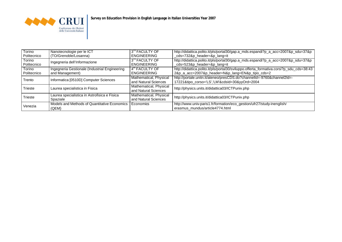

| Torino<br>Politecnico | Nanotecnologie per le ICT<br>(TO/Grenoble/Losanna)               | 3 <sup>rd</sup> FACULTY OF<br><b>ENGINEERING</b> | http://didattica.polito.it/pls/portal30/gap.a_mds.espandi?p_a_acc=2007&p_sdu=37&p<br>_cds=732&p_header=&p_lang=it                            |
|-----------------------|------------------------------------------------------------------|--------------------------------------------------|----------------------------------------------------------------------------------------------------------------------------------------------|
| Torino<br>Politecnico | Ingegneria dell'Informazione                                     | 3 <sup>rd</sup> FACULTY OF<br><b>ENGINEERING</b> | http://didattica.polito.it/pls/portal30/gap.a_mds.espandi?p_a_acc=2007&p_sdu=37&p<br>_cds=523&p_header=&p_lang=it                            |
| Torino<br>Politecnico | Ingegneria Gestionale (Industrial Engineering<br>and Management) | 4 <sup>th</sup> FACULTY OF<br><b>ENGINEERING</b> | http://didattica.polito.it/pls/portal30/sviluppo.offerta_formativa.corsi?p_sdu_cds=38:43<br>2&p_a_acc=2007&p_header=N&p_lang=EN&p_tipo_cds=2 |
| Trento                | Informatica [0510D] Computer Sciences                            | Mathematical, Physical<br>and Natural Sciences   | http://portale.unitn.it/ateneo/presCDS.do?channelId=-9760&channel2Id=-<br>17221&tipo_corso='LS','LM'&cdsId=30&yyOrd=2004                     |
| Trieste               | Laurea specialistica in Fisica                                   | Mathematical, Physical<br>and Natural Sciences   | http://physics.units.it/didattica03/ICTPuniv.php                                                                                             |
| Trieste               | Laurea specialistica in Astrofisica e Fisica<br>Spaziale         | Mathematical, Physical<br>and Natural Sciences   | http://physics.units.it/didattica03/ICTPuniv.php                                                                                             |
| Venezia               | Models and Methods of Quantitative Economics<br>(QEM)            | Economics                                        | http://www.univ-paris1.fr/formation/eco_gestion/ufr27/study-inenglish/<br>erasmus_mundus/article4774.html                                    |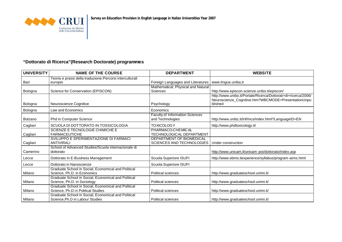

## **"Dottorato di Ricerca"(Research Doctorate) programmes**

| <b>UNIVERSITY</b> | <b>NAME OF THE COURSE</b>                                                                 | <b>DEPARTMENT</b>                                            | <b>WEBSITE</b>                                                                                                                   |
|-------------------|-------------------------------------------------------------------------------------------|--------------------------------------------------------------|----------------------------------------------------------------------------------------------------------------------------------|
| Bari              | Teoria e prassi della traduzione.Percorsi interculturali<br>europei                       | Foreign Languages and Literatures                            | www.lingue.uniba.it                                                                                                              |
| Bologna           | Science for Conservation (EPISCON)                                                        | Mathematical, Physical and Natural<br>Sciences               | http://www.episcon.scienze.unibo.it/episcon/                                                                                     |
| Bologna           | Neuroscienze Cognitive                                                                    | Psychology                                                   | http://www.unibo.it/Portale/Ricerca/Dottorati+di+ricerca/2006/<br>Neuroscienze_Cognitive.htm?WBCMODE=PresentationUnpu<br>blished |
| Bologna           | Law and Economics                                                                         | Economics                                                    |                                                                                                                                  |
| Bolzano           | <b>Phd in Computer Science</b>                                                            | <b>Faculty of Information Sciences</b><br>and Technologies   | http://www.unibz.it/inf/mcs/index.html?LanguageID=EN                                                                             |
| Cagliari          | SCUOLA DI DOTTORATO IN TOSSICOLOGIA                                                       | <b>TOXICOLOGY</b>                                            | http://www.phdtoxicology.it/                                                                                                     |
| Cagliari          | <b>SCIENZE E TECNOLOGIE CHIMICHE E</b><br><b>FARMACEUTICHE</b>                            | PHARMACO-CHEMICAL<br>TECHNOLOGICAL DEPARTMENT                |                                                                                                                                  |
| Cagliari          | SVILUPPO E SPERIMENTAZIONE DI FARMACI<br><b>ANTIVIRALI</b>                                | DEPARTMENT OF BIOMEDICAL<br><b>SCIENCES AND TECHNOLOGIES</b> | Under construction                                                                                                               |
| Camerino          | School of Advanced Studies/Scuola internazionale di<br>dottorato                          |                                                              | http://www.unicam.it/unicam-poi/dottorato/index.asp                                                                              |
| Lecce             | Dottorato in E-Business Management                                                        | Scuola Superiore ISUFI                                       | http://www.ebms.itexperience/syllabus/program-aims.html                                                                          |
| Lecce             | Dottorato in Nanoscienze                                                                  | Scuola Superiore ISUFI                                       |                                                                                                                                  |
| Milano            | Graduate School in Social, Economical and Political<br>Science, Ph.D. in Economics        | <b>Political sciences</b>                                    | http://www.graduateschool.unimi.it/                                                                                              |
| Milano            | Graduate School in Social, Economical and Political<br>Science, Ph.D. in Sociology        | <b>Political sciences</b>                                    | http://www.graduateschool.unimi.it/                                                                                              |
| Milano            | Graduate School in Social, Economical and Political<br>Science, Ph.D in Political Studies | <b>Political sciences</b>                                    | http://www.graduateschool.unimi.it/                                                                                              |
| Milano            | Graduate School in Social, Economical and Political<br>Science, Ph.D in Labour Studies    | <b>Political sciences</b>                                    | http://www.graduateschool.unimi.it/                                                                                              |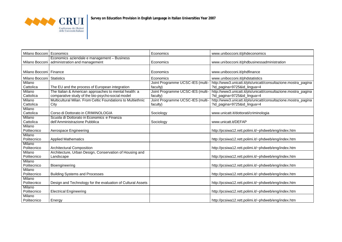

| Milano Bocconi           | Economics                                                   | Economics                        | www.unibocconi.it/phdeconomics                                 |
|--------------------------|-------------------------------------------------------------|----------------------------------|----------------------------------------------------------------|
|                          | Economics aziendale e management - Business                 |                                  |                                                                |
| Milano Bocconi           | administration and management                               | Economics                        | www.unibocconi.it/phdbusinessadministration                    |
|                          |                                                             |                                  |                                                                |
|                          |                                                             |                                  |                                                                |
| Milano Bocconi   Finance |                                                             | Economics                        | www.unibocconi.it/phdfinance                                   |
| Milano Bocconi           | <b>Statistics</b>                                           | Economics                        | www.unibocconi.it/phdstatistics                                |
| Milano                   |                                                             | Joint Programme UCSC-IES (multi- | http://www3.unicatt.it/pls/unicatt/consultazione.mostra_pagina |
| Cattolica                | The EU and the process of European integration              | faculty)                         | ?id_pagina=9725&id_lingua=4                                    |
| Milano                   | The Italian & American approaches to mental health: a       | Joint Programme UCSC-IES (multi- | http://www3.unicatt.it/pls/unicatt/consultazione.mostra_pagina |
| Cattolica                | comparative study of the bio-psycho-social model            | faculty)                         | ?id_pagina=9725&id_lingua=4                                    |
| Milano                   | Multicultural Milan. From Celtic Foundations to Multiethnic | Joint Programme UCSC-IES (multi- | http://www3.unicatt.it/pls/unicatt/consultazione.mostra_pagina |
| Cattolica                | City                                                        |                                  | ?id_pagina=9725&id_lingua=4                                    |
|                          |                                                             | faculty)                         |                                                                |
| Milano                   |                                                             |                                  |                                                                |
| Cattolica                | Corso di Dottorato in CRIMINOLOGIA                          | Sociology                        | www.unicatt.it/dottorati/criminologia                          |
| Milano                   | Scuola di Dottorato in Economics e Finanza                  |                                  |                                                                |
| Cattolica                | dell'Amministrazione Pubblica                               | Sociology                        | www.unicatt.it/DEFAP                                           |
| Milano                   |                                                             |                                  |                                                                |
| Politecnico              | Aerospace Engineering                                       |                                  | http://pcsiwa12.rett.polimi.it/~phdweb/eng/index.htm           |
| Milano                   |                                                             |                                  |                                                                |
| Politecnico              | <b>Applied Mathematics</b>                                  |                                  | http://pcsiwa12.rett.polimi.it/~phdweb/eng/index.htm           |
| Milano                   |                                                             |                                  |                                                                |
| Politecnico              | <b>Architectural Composition</b>                            |                                  | http://pcsiwa12.rett.polimi.it/~phdweb/eng/index.htm           |
| Milano                   | Architecture, Urban Design, Conservation of Housing and     |                                  |                                                                |
|                          |                                                             |                                  |                                                                |
| Politecnico              | Landscape                                                   |                                  | http://pcsiwa12.rett.polimi.it/~phdweb/eng/index.htm           |
| Milano                   |                                                             |                                  |                                                                |
| Politecnico              | <b>Bioengineering</b>                                       |                                  | http://pcsiwa12.rett.polimi.it/~phdweb/eng/index.htm           |
| Milano                   |                                                             |                                  |                                                                |
| Politecnico              | <b>Building Systems and Processes</b>                       |                                  | http://pcsiwa12.rett.polimi.it/~phdweb/eng/index.htm           |
| Milano                   |                                                             |                                  |                                                                |
| Politecnico              | Design and Technology for the evaluation of Cultural Assets |                                  | http://pcsiwa12.rett.polimi.it/~phdweb/eng/index.htm           |
| Milano                   |                                                             |                                  |                                                                |
| Politecnico              | <b>Electrical Engineering</b>                               |                                  | http://pcsiwa12.rett.polimi.it/~phdweb/eng/index.htm           |
| Milano                   |                                                             |                                  |                                                                |
| Politecnico              | Energy                                                      |                                  | http://pcsiwa12.rett.polimi.it/~phdweb/eng/index.htm           |
|                          |                                                             |                                  |                                                                |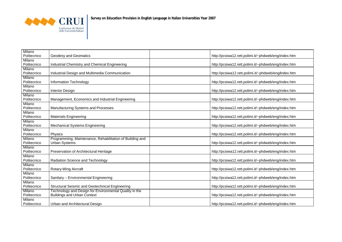

| Milano                |                                                          |                                                      |
|-----------------------|----------------------------------------------------------|------------------------------------------------------|
| Politecnico           | Geodesy and Geomatics                                    | http://pcsiwa12.rett.polimi.it/~phdweb/eng/index.htm |
| Milano<br>Politecnico | Industrial Chemistry and Chemical Engineering            | http://pcsiwa12.rett.polimi.it/~phdweb/eng/index.htm |
| Milano                |                                                          |                                                      |
| Politecnico           | Industrial Design and Multimedia Communication           | http://pcsiwa12.rett.polimi.it/~phdweb/eng/index.htm |
| Milano                |                                                          |                                                      |
| Politecnico           | Information Technology                                   | http://pcsiwa12.rett.polimi.it/~phdweb/eng/index.htm |
| Milano                |                                                          |                                                      |
| Politecnico           | <b>Interior Design</b>                                   | http://pcsiwa12.rett.polimi.it/~phdweb/eng/index.htm |
| Milano                |                                                          |                                                      |
| Politecnico           | Management, Economics and Industrial Engineering         | http://pcsiwa12.rett.polimi.it/~phdweb/eng/index.htm |
| Milano<br>Politecnico |                                                          |                                                      |
| Milano                | Manufacturing Systems and Processes                      | http://pcsiwa12.rett.polimi.it/~phdweb/eng/index.htm |
| Politecnico           | <b>Materials Engineering</b>                             | http://pcsiwa12.rett.polimi.it/~phdweb/eng/index.htm |
| Milano                |                                                          |                                                      |
| Politecnico           | <b>Mechanical Systems Engineering</b>                    | http://pcsiwa12.rett.polimi.it/~phdweb/eng/index.htm |
| Milano                |                                                          |                                                      |
| Politecnico           | Physics                                                  | http://pcsiwa12.rett.polimi.it/~phdweb/eng/index.htm |
| Milano                | Programming, Maintenance, Rehabilitation of Building and |                                                      |
| Politecnico           | <b>Urban Systems</b>                                     | http://pcsiwa12.rett.polimi.it/~phdweb/eng/index.htm |
| Milano                |                                                          |                                                      |
| Politecnico           | Preservation of Architectural Heritage                   | http://pcsiwa12.rett.polimi.it/~phdweb/eng/index.htm |
| Milano                |                                                          |                                                      |
| Politecnico           | Radiation Science and Technology                         | http://pcsiwa12.rett.polimi.it/~phdweb/eng/index.htm |
| Milano                |                                                          |                                                      |
| Politecnico           | Rotary-Wing Aircraft                                     | http://pcsiwa12.rett.polimi.it/~phdweb/eng/index.htm |
| Milano<br>Politecnico |                                                          |                                                      |
|                       | Sanitary - Environmental Engineering                     | http://pcsiwa12.rett.polimi.it/~phdweb/eng/index.htm |
| Milano<br>Politecnico | Structural Seismic and Geotechnical Engineering          | http://pcsiwa12.rett.polimi.it/~phdweb/eng/index.htm |
| Milano                | Technology and Design for Environmental Quality in the   |                                                      |
| Politecnico           | <b>Buildings and Urban Context</b>                       | http://pcsiwa12.rett.polimi.it/~phdweb/eng/index.htm |
| Milano                |                                                          |                                                      |
| Politecnico           | Urban and Architectural Design                           | http://pcsiwa12.rett.polimi.it/~phdweb/eng/index.htm |
|                       |                                                          |                                                      |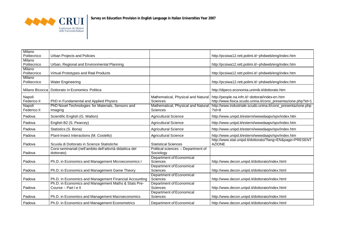

| Milano                |                                                            |                                                    |                                                                           |
|-----------------------|------------------------------------------------------------|----------------------------------------------------|---------------------------------------------------------------------------|
| Politecnico           | Urban Projects and Policies                                |                                                    | http://pcsiwa12.rett.polimi.it/~phdweb/eng/index.htm                      |
| Milano<br>Politecnico | Urban, Regional and Environmental Planning                 |                                                    | http://pcsiwa12.rett.polimi.it/~phdweb/eng/index.htm                      |
| Milano                |                                                            |                                                    |                                                                           |
| Politecnico           | Virtual Prototypes and Real Products                       |                                                    | http://pcsiwa12.rett.polimi.it/~phdweb/eng/index.htm                      |
| Milano                |                                                            |                                                    |                                                                           |
| Politecnico           | <b>Water Engineering</b>                                   |                                                    | http://pcsiwa12.rett.polimi.it/~phdweb/eng/index.htm                      |
| Milano Bicocca        | Dottorato in Economics Politica                            |                                                    | http://dipeco.economia.unimib.it/dottorato.htm                            |
| Napoli                |                                                            | Mathematical, Physical and Natural                 | http://people.na.infn.it/~dottorat/index-en.htm                           |
| Federico II           | PhD in Fundamental and Applied Physics                     | Sciences                                           | http://www.fisica.scudo.unina.it/corsi_presentazione.php?id=1             |
| Napoli                | PhD Novel Technologies for Materials, Sensors and          | Mathematical, Physical and Natural                 | http://www.industriale.scudo.unina.it/corsi_presentazione.php             |
| Federico II           | Imaging                                                    | <b>Sciences</b>                                    | $?id = 8$                                                                 |
| Padova                | Scientific English (G. Walton)                             | <b>Agricultural Science</b>                        | http://www.unipd.it/esterni/wwwdaapv/spv/index.htm                        |
| Padova                | English B2 (S. Pearcey)                                    | <b>Agricultural Science</b>                        | http://www.unipd.it/esterni/wwwdaapv/spv/index.htm                        |
| Padova                | Statistics (S. Bona)                                       | <b>Agricultural Science</b>                        | http://www.unipd.it/esterni/wwwdaapv/spv/index.htm                        |
| Padova                | Plant-Insect Interactions (M. Costello)                    | <b>Agricultural Science</b>                        | http://www.unipd.it/esterni/wwwdaapv/spv/index.htm                        |
| Padova                | Scuola di Dottorato in Scienze Statistiche                 | <b>Statistical Sciences</b>                        | http://www.stat.unipd.it/dottorato/?lang=EN&page=PRESENT<br><b>AZIONE</b> |
|                       | Corsi seminariali (nell'ambito dell'attività didattica del | Political sciences - Department of                 |                                                                           |
| Padova                | dottorato)                                                 | Sociology                                          |                                                                           |
|                       |                                                            | <b>Department of Economical</b>                    |                                                                           |
| Padova                | Ph.D. in Economics and Management Microeconomics I         | <b>Sciences</b>                                    | http://www.decon.unipd.it/dottorato/index.html                            |
|                       |                                                            | Department of Economical                           |                                                                           |
| Padova                | Ph.D. in Economics and Management Game Theory              | <b>Sciences</b>                                    | http://www.decon.unipd.it/dottorato/index.html                            |
|                       |                                                            | <b>Department of Economical</b>                    |                                                                           |
| Padova                | Ph.D. in Economics and Management Financial Accounting     | Sciences                                           | http://www.decon.unipd.it/dottorato/index.html                            |
|                       | Ph.D. in Economics and Management Maths & Stats Pre-       | <b>Department of Economical</b>                    |                                                                           |
| Padova                | Course - Part I e II                                       | Sciences                                           | http://www.decon.unipd.it/dottorato/index.html                            |
| Padova                | Ph.D. in Economics and Management Macroeconomics           | <b>Department of Economical</b><br><b>Sciences</b> | http://www.decon.unipd.it/dottorato/index.html                            |
| Padova                | Ph.D. in Economics and Management Econometrics             | Department of Economical                           | http://www.decon.unipd.it/dottorato/index.html                            |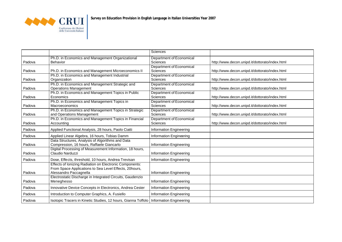

|        |                                                                                                                                             | Sciences                                           |                                                |
|--------|---------------------------------------------------------------------------------------------------------------------------------------------|----------------------------------------------------|------------------------------------------------|
| Padova | Ph.D. in Economics and Management Organizational<br>Behavior                                                                                | Department of Economical<br>Sciences               | http://www.decon.unipd.it/dottorato/index.html |
| Padova | Ph.D. in Economics and Management Microeconomics II                                                                                         | <b>Department of Economical</b><br>Sciences        | http://www.decon.unipd.it/dottorato/index.html |
| Padova | Ph.D. in Economics and Management Industrial<br>Organization                                                                                | <b>Department of Economical</b><br><b>Sciences</b> | http://www.decon.unipd.it/dottorato/index.html |
| Padova | Ph.D. in Economics and Management Strategic and<br><b>Operations Management</b>                                                             | <b>Department of Economical</b><br>Sciences        | http://www.decon.unipd.it/dottorato/index.html |
| Padova | Ph.D. in Economics and Management Topics in Public<br>Economics                                                                             | Department of Economical<br>Sciences               | http://www.decon.unipd.it/dottorato/index.html |
| Padova | Ph.D. in Economics and Management Topics in<br><b>Macroeconomics</b>                                                                        | Department of Economical<br>Sciences               | http://www.decon.unipd.it/dottorato/index.html |
| Padova | Ph.D. in Economics and Management Topics in Strategic<br>and Operations Management                                                          | Department of Economical<br><b>Sciences</b>        | http://www.decon.unipd.it/dottorato/index.html |
| Padova | Ph.D. in Economics and Management Topics in Financial<br>Accounting                                                                         | <b>Department of Economical</b><br>Sciences        | http://www.decon.unipd.it/dottorato/index.html |
| Padova | Applied Functional Analysis, 28 hours, Paolo Ciatti                                                                                         | Information Engineering                            |                                                |
| Padova | Applied Linear Algebra, 16 hours, Tobias Damm                                                                                               | Information Engineering                            |                                                |
| Padova | Data Structures, Analysis of Algorithms and Data<br>Compression, 16 hours, Raffaele Giancarlo                                               | <b>Information Engineering</b>                     |                                                |
| Padova | Digital Processing of Measurement Information, 18 hours,<br>Claudio Narduzzi                                                                | Information Engineering                            |                                                |
| Padova | Dose, Effects, threshold, 10 hours, Andrea Trevisan                                                                                         | Information Engineering                            |                                                |
| Padova | Effects of Ionizing Radiation on Electronic Components:<br>From Space Applications to Sea Level Effects, 20hours,<br>Alessandro Paccagnella | <b>Information Engineering</b>                     |                                                |
| Padova | Electrostatic Discharge in Integrated Circuits, Gaudenzio<br>Meneghesso                                                                     | Information Engineering                            |                                                |
| Padova | Innovative Device Concepts in Electronics, Andrea Cester                                                                                    | Information Engineering                            |                                                |
| Padova | Introduction to Computer Graphics, A. Fusiello                                                                                              | Information Engineering                            |                                                |
| Padova | Isotopic Tracers in Kinetic Studies, 12 hours, Gianna Toffolo   Information Engineering                                                     |                                                    |                                                |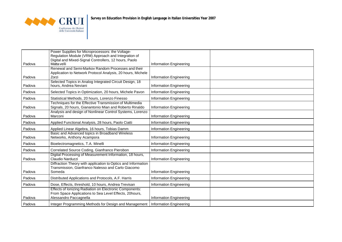

|        | Power Supplies for Microprocessors: the Voltage-              |                         |  |
|--------|---------------------------------------------------------------|-------------------------|--|
|        | Regulation Module (VRM) Approach and Integration of           |                         |  |
|        | Digital and Mixed-Signal Controllers, 12 hours, Paolo         |                         |  |
| Padova | Matta velli                                                   | Information Engineering |  |
|        | Renewal and Semi-Markov Random Processes and their            |                         |  |
|        | Application to Network Protocol Analysis, 20 hours, Michele   |                         |  |
| Padova | Zorzi                                                         | Information Engineering |  |
|        | Selected Topics in Analog Integrated Circuit Design, 18       |                         |  |
| Padova | hours, Andrea Neviani                                         | Information Engineering |  |
| Padova | Selected Topics in Optimization, 20 hours, Michele Pavon      | Information Engineering |  |
| Padova | Statistical Methods, 20 hours, Lorenzo Finesso                | Information Engineering |  |
|        | Techniques for the Effective Transmission of Multimedia       |                         |  |
| Padova | Signals, 20 hours, Gianantonio Mian and Roberto Rinaldo       | Information Engineering |  |
|        | Analysis and design of Nonlinear Control Systems, Lorenzo     |                         |  |
| Padova | Marconi                                                       | Information Engineering |  |
| Padova | Applied Functional Analysis, 28 hours, Paolo Ciatti           | Information Engineering |  |
| Padova | Applied Linear Algebra, 16 hours, Tobias Damm                 | Information Engineering |  |
|        | Basic and Advanced topics in Broadband Wireless               |                         |  |
| Padova | Networks, Anthony Acampora                                    | Information Engineering |  |
| Padova | Bioelectromagnetics, T.A. Minelli                             | Information Engineering |  |
| Padova | Correlated Source Coding, Gianfranco Pierobon                 | Information Engineering |  |
|        | Digital Processing of Measurement Information, 18 hours,      |                         |  |
| Padova | Claudio Narduzzi                                              | Information Engineering |  |
|        | Diffraction Theory with application to Optics and Information |                         |  |
|        | Transmission, Gianfranco Nalesso and Carlo Giacomo            |                         |  |
| Padova | Someda                                                        | Information Engineering |  |
| Padova | Distributed Applications and Protocols, A.F. Harris           | Information Engineering |  |
| Padova | Dose, Effects, threshold, 10 hours, Andrea Trevisan           | Information Engineering |  |
|        | Effects of Ionizing Radiation on Electronic Components:       |                         |  |
|        | From Space Applications to Sea Level Effects, 20hours,        |                         |  |
| Padova | Alessandro Paccagnella                                        | Information Engineering |  |
| Padova | Integer Programming Methods for Design and Management         | Information Engineering |  |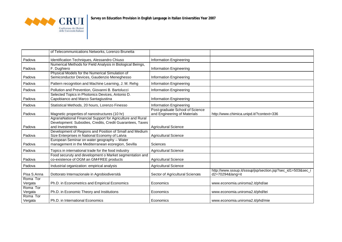

|                     | of Telecommunications Networks, Lorenzo Brunetta                                                                                            |                                                                 |                                                                             |
|---------------------|---------------------------------------------------------------------------------------------------------------------------------------------|-----------------------------------------------------------------|-----------------------------------------------------------------------------|
| Padova              | Identification Techniques, Alessandro Chiuso                                                                                                | <b>Information Engineering</b>                                  |                                                                             |
| Padova              | Numerical Methods for Field Analysis in Biological Beings,<br>F. Dughiero                                                                   | <b>Information Engineering</b>                                  |                                                                             |
| Padova              | Physical Models for the Numerical Simulation of<br>Semiconductor Devices, Gaudenzio Meneghesso                                              | Information Engineering                                         |                                                                             |
| Padova              | Pattern recognition and Machine Learning, J. M. Rehg                                                                                        | Information Engineering                                         |                                                                             |
| Padova              | Pollution and Prevention, Giovanni B. Bartolucci                                                                                            | Information Engineering                                         |                                                                             |
| Padova              | Selected Topics in Photonics Devices, Antonio D.<br>Capobianco and Marco Santagiustina                                                      | Information Engineering                                         |                                                                             |
| Padova              | Statistical Methods, 20 hours, Lorenzo Finesso                                                                                              | Information Engineering                                         |                                                                             |
| Padova              | Magnetic properties of nanostructures (10 hr)                                                                                               | Post-graduate School of Science<br>and Engineering of Materials | http://www.chimica.unipd.it/?context=336                                    |
| Padova              | AgrariaNational Financial Support for Agriculture and Rural<br>Development: Subsidies, Credits, Credit Guarantees, Taxes<br>and Investments | <b>Agricultural Science</b>                                     |                                                                             |
| Padova              | Development of Regions and Position of Small and Medium<br>Size Enterprises in National Economy of Latvia                                   | <b>Agricultural Science</b>                                     |                                                                             |
| Padova              | European Seminar on water geography - Water<br>management in the Mediterranean ecoregion, Sevilla                                           | Sciences                                                        |                                                                             |
| Padova              | Topics in international trade for the food industry                                                                                         | <b>Agricultural Science</b>                                     |                                                                             |
| Padova              | Food securuty and development o Market segmentation and<br>co-existence of OGM an GM-FREE products                                          | <b>Agricultural Science</b>                                     |                                                                             |
| Padova              | Industrial organization: empirical analysis                                                                                                 | <b>Agricultural Science</b>                                     |                                                                             |
| Pisa S.Anna         | Dottorato Internazionale in Agrobiodiversità                                                                                                | Sector of Agricultural Sciences                                 | http://www.sssup.it/sssup/jsp/section.jsp?sec_id1=503&sec_i<br>d2=70294⟨=it |
| Roma Tor<br>Vergata | Ph.D. in Econometrics and Empirical Economics                                                                                               | Economics                                                       | www.economia.uniroma2.it/phd/ae                                             |
| Roma Tor<br>Vergata | Ph.D. in Economic Theory and Institutions                                                                                                   | Economics                                                       | www.economia.uniroma2.it/phd/tei                                            |
| Roma Tor<br>Vergata | Ph.D. in International Economics                                                                                                            | Economics                                                       | www.economia.uniroma2.it/phd/mie                                            |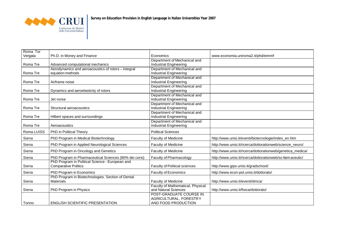

| Roma Tor<br>Vergata | Ph.D. in Money and Finance                             | Economics                                                     | www.economia.uniroma2.it/phd/eimmf                          |
|---------------------|--------------------------------------------------------|---------------------------------------------------------------|-------------------------------------------------------------|
|                     |                                                        | Department of Mechanical and                                  |                                                             |
| Roma Tre            | Advanced computational mechanics                       | <b>Industrial Engineering</b>                                 |                                                             |
|                     | Aerodynamics and aeroacoustics of rotors - integral    | Department of Mechanical and                                  |                                                             |
| Roma Tre            | equation methods                                       | <b>Industrial Engineering</b>                                 |                                                             |
|                     |                                                        | Department of Mechanical and                                  |                                                             |
| Roma Tre            | Airframe noise                                         | <b>Industrial Engineering</b><br>Department of Mechanical and |                                                             |
| Roma Tre            | Dynamics and aeroelasticity of rotors                  | <b>Industrial Engineering</b>                                 |                                                             |
|                     |                                                        | Department of Mechanical and                                  |                                                             |
| Roma Tre            | Jet noise                                              | <b>Industrial Engineering</b>                                 |                                                             |
|                     |                                                        | Department of Mechanical and                                  |                                                             |
| Roma Tre            | Structural aeroacoustics                               | <b>Industrial Engineering</b>                                 |                                                             |
|                     |                                                        | Department of Mechanical and                                  |                                                             |
| Roma Tre            | Hilbert spaces and surroundings                        | <b>Industrial Engineering</b>                                 |                                                             |
|                     |                                                        | Department of Mechanical and                                  |                                                             |
| Roma Tre            | Aeroacoustics                                          | <b>Industrial Engineering</b>                                 |                                                             |
| Roma LUISS          | PhD in Political Theory                                | <b>Political Sciences</b>                                     |                                                             |
| Siena               | PhD Program in Medical Biotechnology                   | Faculty of Medicine                                           | http://www.unisi.it/eventi/biotecnologie/index_en.htm       |
| Siena               | PhD Program in Applied Neurological Sciences           | Faculty of Medicine                                           | http://www.unisi.it/ricerca/dottorationweb/scienze_neuro/   |
| Siena               | PhD Program in Oncology and Genetics                   | Faculty of Medicine                                           | http://www.unisi.it/ricerca/dottorationweb/genetica_medica/ |
| Siena               | PhD Program in Pharmaceutical Sciences (80% dei corsi) | Faculty of Pharmacology                                       | http://www.unisi.it/ricerca/dottorationweb/sc-farm aceutic/ |
|                     | PhD Program in Political Science - European and        |                                                               |                                                             |
| Siena               | <b>Comparative Politics</b>                            | <b>Faculty of Political sciences</b>                          | http://www.gips.unisi.it/gradschool/                        |
| Siena               | PhD Program in Economics                               | <b>Faculty of Economics</b>                                   | http://www.econ-pol.unisi.it/dottorato/                     |
|                     | PhD Program in Biotechnologies. Section of Dental      |                                                               |                                                             |
| Siena               | <b>Materials</b>                                       | Faculty of Medicine                                           | http://www.unisi.it/eventi/dmca/                            |
|                     |                                                        | Faculty of Mathematical, Physical                             |                                                             |
| Siena               | PhD Program in Physics                                 | and Natural Sciences<br>POST-GRADUATE COURSE IN               | http://www.unisi.it/fisica/dottorato/                       |
|                     |                                                        | AGRICULTURAL, FORESTRY                                        |                                                             |
| Torino              | <b>ENGLISH SCIENTIFIC PRESENTATION</b>                 | AND FOOD PRODUCTION                                           |                                                             |
|                     |                                                        |                                                               |                                                             |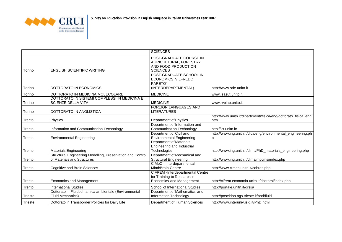

|                |                                                                                           | <b>SCIENCES</b>                                                                                     |                                                                          |
|----------------|-------------------------------------------------------------------------------------------|-----------------------------------------------------------------------------------------------------|--------------------------------------------------------------------------|
| Torino         | <b>ENGLISH SCIENTIFIC WRITING</b>                                                         | POST-GRADUATE COURSE IN<br>AGRICULTURAL, FORESTRY<br>AND FOOD PRODUCTION<br><b>SCIENCES</b>         |                                                                          |
| Torino         | DOTTORATO IN ECONOMICS                                                                    | POST-GRADUATE SCHOOL IN<br><b>ECONOMICS 'VILFREDO</b><br>PARETO'<br>(INTERDEPARTMENTAL)             | http://www.sde.unito.it                                                  |
| Torino         | DOTTORATO IN MEDICINA MOLECOLARE                                                          | <b>MEDICINE</b>                                                                                     | www.isasut.unito.it                                                      |
| Torino         | DOTTORATO IN SISTEMI COMPLESSI IN MEDICINA E<br><b>SCIENZE DELLA VITA</b>                 | <b>MEDICINE</b>                                                                                     | www.rvplab.unito.it                                                      |
| Torino         | DOTTORATO IN ANGLISTICA                                                                   | <b>FOREIGN LANGUAGES AND</b><br><b>LITERATURES</b>                                                  |                                                                          |
| Trento         | Physics                                                                                   | Department of Physics                                                                               | http://www.unitn.it/dipartimenti/fisica/eng/dottorato_fisica_eng.<br>htm |
| Trento         | Information and Communication Technology                                                  | Department of Information and<br><b>Communication Technology</b>                                    | http://ict.unitn.it/                                                     |
| Trento         | <b>Environmental Engineering</b>                                                          | Department of Civil and<br><b>Environmental Engineering</b>                                         | http://www.ing.unitn.it/dica/eng/environmental_engineering.ph            |
| Trento         | <b>Materials Engineering</b>                                                              | <b>Department of Materials</b><br>Engineering and Industrial<br>Technologies                        | http://www.ing.unitn.it/dimti/PhD_materials_engineering.php              |
| Trento         | Structural Engineering Modelling, Preservation and Control<br>of Materials and Structures | Department of Mechanical and<br><b>Structural Engineering</b>                                       | http://www.ing.unitn.it/dims/mpcms/index.php                             |
| Trento         | <b>Cognitive and Brain Sciences</b>                                                       | CIMeC - Interdepartmental<br>Mind/Brain Centre                                                      | http://www.cimec.unitn.it/cobras.php                                     |
| Trento         | <b>Economics and Management</b>                                                           | <b>CIFREM</b> - Interdepartmental Centre<br>for Training to Research in<br>Economics and Management | http://cifrem.economia.unitn.it/doctoral/index.php                       |
| Trento         | <b>International Studies</b>                                                              | School of International Studies                                                                     | http://portale.unitn.it/drsis/                                           |
| Trieste        | Dottorato in Fluidodinamica ambientale (Environmental<br><b>Fluid Mechanics)</b>          | Department of Mathematics and<br><b>Information Technology</b>                                      | http://poseidon.ogs.trieste.it/phd/fluid                                 |
| <b>Trieste</b> | Dottorato in Transborder Policies for Daily Life                                          | Department of Human Sciences                                                                        | http://www.interuniv.isig.it/PhD.html                                    |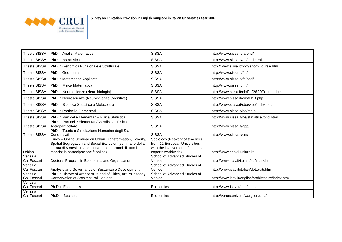

| <b>Trieste SISSA</b>   | PhD in Analisi Matematica                                                                                                                                                                                                | <b>SISSA</b>                                                                                                               | http://www.sissa.it/fa/phd/                       |
|------------------------|--------------------------------------------------------------------------------------------------------------------------------------------------------------------------------------------------------------------------|----------------------------------------------------------------------------------------------------------------------------|---------------------------------------------------|
|                        | Trieste SISSA I PhD in Astrofisica                                                                                                                                                                                       | <b>SISSA</b>                                                                                                               | http://www.sissa.it/ap/phd.html                   |
| <b>Trieste SISSA</b>   | PhD in Genomica Funzionale e Strutturale                                                                                                                                                                                 | <b>SISSA</b>                                                                                                               | http://www.sissa.it/nb/GenomCourse.htm            |
| <b>Trieste SISSA</b>   | I PhD in Geometria                                                                                                                                                                                                       | <b>SISSA</b>                                                                                                               | http://www.sissa.it/fm/                           |
|                        | Trieste SISSA   PhD in Matematica Applicata                                                                                                                                                                              | <b>SISSA</b>                                                                                                               | http://www.sissa.it/fa/phd/                       |
| <b>Trieste SISSA</b>   | PhD in Fisica Matematica                                                                                                                                                                                                 | <b>SISSA</b>                                                                                                               | http://www.sissa.it/fm/                           |
|                        | Trieste SISSA   PhD in Neuroscienze (Neurobiologia)                                                                                                                                                                      | <b>SISSA</b>                                                                                                               | http://www.sissa.it/nb/PhD%20Courses.htm          |
| <b>Trieste SISSA</b>   | PhD in Neuroscienze (Neuroscienze Cognitive)                                                                                                                                                                             | <b>SISSA</b>                                                                                                               | http://www.sissa.it/cns/PhD.php                   |
|                        | Trieste SISSA   PhD in Biofisica Statistica e Molecolare                                                                                                                                                                 | <b>SISSA</b>                                                                                                               | http://www.sissa.it/sbp/web/index.php             |
|                        | Trieste SISSA I PhD in Particelle Elementari                                                                                                                                                                             | <b>SISSA</b>                                                                                                               | http://www.sissa.it/he/main/                      |
| <b>Trieste SISSA</b>   | PhD in Particelle Elementari - Fisica Statistica                                                                                                                                                                         | <b>SISSA</b>                                                                                                               | http://www.sissa.it/he/statistical/phd.html       |
| <b>Trieste SISSA</b>   | PhD in Particelle Elementari/Astrofisica - Fisica<br>Astroparticellare                                                                                                                                                   | <b>SISSA</b>                                                                                                               | http://www.sissa.it/app/                          |
| <b>Trieste SISSA</b>   | PhD in Teoria e Simulazione Numerica degli Stati<br>Condensati                                                                                                                                                           | <b>SISSA</b>                                                                                                               | http://www.sissa.it/cm/                           |
| Urbino                 | Eurex - Online Seminar on Urban Transformation, Poverty,<br>Spatial Segregation and Social Exclusion (seminario della<br>durata di 5 mesi circa destinato a dottorandi di tutto il<br>mondo; la partecipazione è online) | Sociology (Network of teachers<br>from 12 European Universities,<br>with the involvement of the best<br>experts worldwide) | http://www.shakti.uniurb.it/                      |
| Venezia<br>Ca' Foscari | Doctoral Program in Economics and Organisation                                                                                                                                                                           | School of Advanced Studies of<br>Venice                                                                                    | http://www.isav.it/italian/eo/index.htm           |
| Venezia<br>Ca' Foscari | Analysis and Governance of Sustainable Development                                                                                                                                                                       | School of Advanced Studies of<br>Venice                                                                                    | http://www.isav.it/italian/dottorati.htm          |
| Venezia<br>Ca' Foscari | PhD in History of Architecture and of Cities, Art Philosophy<br>Conservation of Architectural Heritage                                                                                                                   | School of Advanced Studies of<br>Venice                                                                                    | http://www.isav.it/english/architecture/index.htm |
| Venezia<br>Ca' Foscari | Ph.D in Economics                                                                                                                                                                                                        | Economics                                                                                                                  | http://www.isav.it/deo/index.html                 |
| Venezia<br>Ca' Foscari | Ph.D in Business                                                                                                                                                                                                         | Economics                                                                                                                  | http://venus.unive.it/warglien/dea/               |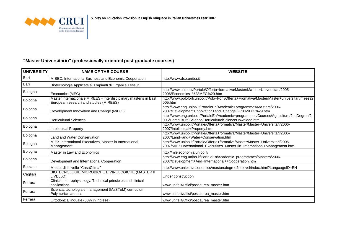

## **"Master Universitario" (professionally-orientedpost-graduate courses)**

| <b>UNIVERSITY</b> | <b>NAME OF THE COURSE</b>                                                                                   | <b>WEBSITE</b>                                                                                                                                              |
|-------------------|-------------------------------------------------------------------------------------------------------------|-------------------------------------------------------------------------------------------------------------------------------------------------------------|
| Bari              | MIBEC: International Business and Economic Cooperation                                                      | http://www.dse.uniba.it                                                                                                                                     |
| Bari              | Biotecnologie Applicate ai Trapianti di Organi e Tessuti                                                    |                                                                                                                                                             |
| Bologna           | Economics (MEC)                                                                                             | http://www.unibo.it/Portale/Offerta+formativa/Master/Master+Universitari/2005-<br>2006/Economics+%28MEC%29.htm                                              |
| Bologna           | Master internazionale MIREES - Interdisciplinary master's in East<br>European research and studies (MIREES) | http://www.poloforli.unibo.it/Polo+Forli/Offerta+Fromativa/Master/Master+universitari/mirees2<br>005.htm                                                    |
| Bologna           | Development Innovation and Change (MiDIC)                                                                   | http://www.eng.unibo.it/PortaleEn/Academic+programmes/Masters/2006-<br>2007/Development+Innovation+and+Change+%28MiDIC%29.htm                               |
| Bologna           | <b>Horticultural Sciences</b>                                                                               | http://www.eng.unibo.it/PortaleEn/Academic+programmes/Courses/Agriculture/2ndDegree/2<br>005/HorticulturalScience/HorticulturalScienceDownload.htm          |
| Bologna           | <b>Intellectual Property</b>                                                                                | http://www.unibo.it/Portale/Offerta+formativa/Master/Master+Universitari/2006-<br>2007/Intellectual+Property.htm                                            |
| Bologna           | Land and Water Conservation                                                                                 | http://www.unibo.it/Portale/Offerta+formativa/Master/Master+Universitari/2006-<br>2007/Land+and+Water+Conservation.htm                                      |
| Bologna           | MIEX International Executives, Master in International<br>Management                                        | http://www.unibo.it/Portale/Offerta+formativa/Master/Master+Universitari/2006-<br>2007/MIEX+International+Executives+Master+in+International+Management.htm |
| Bologna           | Master in Law and Economics                                                                                 | http://mle.economia.unibo.it/                                                                                                                               |
| Bologna           | Development and International Cooperation                                                                   | http://www.eng.unibo.it/PortaleEn/Academic+programmes/Masters/2006-<br>2007/Development+And+International++Cooperation.htm                                  |
| Bolzano           | Master di II livello "CasaClima"                                                                            | http://www.unibz.it/economics/mastersdegree2ndlevel/index.html?LanguageID=EN                                                                                |
| Cagliari          | BIOTECNOLOGIE MICROBICHE E VIROLOGICHE (MASTER II<br>LIVELLO)                                               | Under construction                                                                                                                                          |
| Ferrara           | Clinical neurophysiology. Technical principles and clinical<br>applications                                 | www.unife.it/uffici/postlaurea_master.htm                                                                                                                   |
| Ferrara           | Scienza, tecnologia e management (MaSTeM) curriculum<br>Polymeric materials                                 | www.unife.it/uffici/postlaurea_master.htm                                                                                                                   |
| Ferrara           | Ortodonzia linguale (50% in inglese)                                                                        | www.unife.it/uffici/postlaurea_master.htm                                                                                                                   |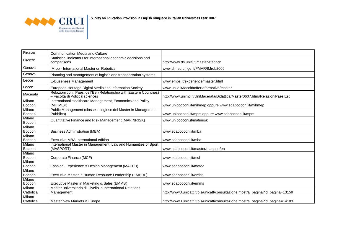

| Firenze             | <b>Communication Media and Culture</b>                                                                  |                                                                                |
|---------------------|---------------------------------------------------------------------------------------------------------|--------------------------------------------------------------------------------|
| Firenze             | Statistical indicators for international economic decisions and<br>comparisons                          | http://www.ds.unifi.it/master-statind/                                         |
| Genova              | IMrob - International Master on Robotics                                                                | www.dimec.unige.it/PMAR/IMrob2006                                              |
| Genova              | Planning and management of logistic and transportation systems                                          |                                                                                |
| Lecce               | E-Buseness Management                                                                                   | www.embs.it/experience/master.html                                             |
| Lecce               | European Heritage Digital Media and Information Society                                                 | www.unile.it/facoltàoffertaformativa/master                                    |
| Macerata            | Relazioni con i Paesi dell'Est (Relationship with Eastern Countries)<br>- Facoltà di Political sciences | http://www.unimc.it/UniMacerata/Didattica/Master0607.htm#RelazioniPaesiEst     |
| Milano<br>Bocconi   | International Healthcare Management, Economics and Policy<br>(MIHMEP)                                   | www.unibocconi.it/mihmep oppure www.sdabocconi.it/mihmep                       |
| Milano<br>Bocconi   | Public Management (classe in inglese del Master in Management<br>Pubblico)                              | www.unibocconi.it/mpm oppure www.sdabocconi.it/mpm                             |
| Milano<br>Bocconi   | Quantitative Finance and Risk Management (MAFINRISK)                                                    | www.unibocconi.it/mafinrisk                                                    |
| Milano<br>Bocconi   | <b>Business Administration (MBA)</b>                                                                    | www.sdabocconi.it/mba                                                          |
| Milano<br>Bocconi   | Executive MBA International edition                                                                     | www.sdabocconi.it/mba                                                          |
| Milano<br>Bocconi   | International Master in Management, Law and Humanities of Sport<br>(MASPORT)                            | www.sdabocconi.it/master/masport/en                                            |
| Milano<br>Bocconi   | Corporate Finance (MCF)                                                                                 | www.sdabocconi.it/mcf                                                          |
| Milano<br>Bocconi   | Fashion, Experience & Design Management (MAFED)                                                         | www.sdabocconi.it/mafed                                                        |
| Milano<br>Bocconi   | Executive Master in Human Resource Leadership (EMHRL)                                                   | www.sdabocconi.it/emhrl                                                        |
| Milano<br>Bocconi   | Executive Master in Marketing & Sales (EMMS)                                                            | www.sdabocconi.it/emms                                                         |
| Milano<br>Cattolica | Master universitario di I livello in International Relations<br>Management                              | http://www3.unicatt.it/pls/unicatt/consultazione.mostra_pagina?id_pagina=13159 |
| Milano<br>Cattolica | Master New Markets & Europe                                                                             | http://www3.unicatt.it/pls/unicatt/consultazione.mostra_pagina?id_pagina=14183 |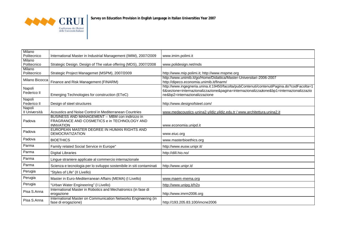

| Milano<br>Politecnico   | International Master in Industrial Management (IMIM), 2007/2009                                                   | www.imim.polimi.it                                                                                                                                                                                                    |
|-------------------------|-------------------------------------------------------------------------------------------------------------------|-----------------------------------------------------------------------------------------------------------------------------------------------------------------------------------------------------------------------|
| Milano<br>Politecnico   | Strategic Design. Design of The value offering (MDS), 2007/2008                                                   | www.polidesign.net/mds                                                                                                                                                                                                |
| Milano<br>Politecnico   | Strategic Project Managemet (MSPM), 2007/2009                                                                     | http://www.mip.polimi.it; http://www.mspme.org                                                                                                                                                                        |
| Milano Bicocca          | Finance and Risk Management (FINARM)                                                                              | http://www.unimib.it/go/Home/Didattica/Master-Universitari-2006-2007<br>http://dipeco.economia.unimib.it/finarm/                                                                                                      |
| Napoli<br>Federico II   | Emerging Technologies for construction (ETeC)                                                                     | http://www.ingegneria.unina.it:19450/facolta/pubContenuti/contenutiPagina.do?codFacolta=1<br>6&sezione=internazionalizzazione&pagina=internazionalizzazione&bp1=internazionalizzazio<br>ne&bp2=internazionalizzazione |
| Napoli<br>Federico II   | Design of steel structures                                                                                        | http://www.designofsteel.com/                                                                                                                                                                                         |
| Napoli<br>II Università | Acoustics and Noise Control in Mediterranean Countries                                                            | www.medacoustics-unina2-vildiz.vildiz.edu.tr / www.architettura.unina2.it                                                                                                                                             |
| Padova                  | BUSINESS AND MANAGEMENT - MBM con indirizzo in<br>FRAGRANCE AND COSMETICS e in TECHNOLOGY AND<br><b>INNVATION</b> | www.economia.unipd.it                                                                                                                                                                                                 |
| Padova                  | EUROPEAN MASTER DEGREE IN HUMAN RIGHTS AND<br><b>DEMOCRATIZATION</b>                                              | www.eiuc.org                                                                                                                                                                                                          |
| Padova                  | <b>BIOETHICS</b>                                                                                                  | www.masterbioethics.org                                                                                                                                                                                               |
| Parma                   | Family related Social Service in Europe"                                                                          | http://www.eusw.unipr.it/                                                                                                                                                                                             |
| Parma                   | <b>Digital Libraries</b>                                                                                          | http://dill.hio.no/                                                                                                                                                                                                   |
| Parma                   | Lingue straniere applicate al commercio internazionale                                                            |                                                                                                                                                                                                                       |
| Parma                   | Scienza e tecnologia per lo sviluppo sostenibile in siti contaminati                                              | http://www.unipr.it/                                                                                                                                                                                                  |
| Perugia                 | "Styles of Life" (Il Livello)                                                                                     |                                                                                                                                                                                                                       |
| Perugia                 | Master in Euro-Mediterranean Affairs (MEMA) (I Livello)                                                           | www.maem-mema.org                                                                                                                                                                                                     |
| Perugia                 | "Urban Water Engineering" (I Livello)                                                                             | http://www.unipg.it/h2o                                                                                                                                                                                               |
| Pisa S.Anna             | International Master in Robotics and Mechatronics (in fase di<br>erogazione                                       | http://www.imrm2006.org                                                                                                                                                                                               |
| Pisa S.Anna             | International Master on Communication Networks Engineering (in<br>fase di erogazione)                             | http://193.205.83.100/imcne2006                                                                                                                                                                                       |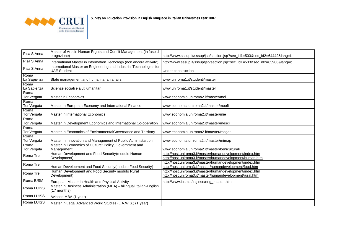

| Pisa S.Anna         | Master of Arts in Human Rights and Conflit Management (in fase di<br>erogazione)          | http://www.sssup.it/sssup/jsp/section.jsp?sec_id1=503&sec_id2=64442⟨=it                                                |
|---------------------|-------------------------------------------------------------------------------------------|------------------------------------------------------------------------------------------------------------------------|
| Pisa S.Anna         | International Master in Information Techology (non ancora attivato)                       | http://www.sssup.it/sssup/jsp/section.jsp?sec_id1=503&sec_id2=65986⟨=it                                                |
| Pisa S.Anna         | International Master on Engineering and Industrial Technologies for<br><b>UAE Student</b> | Under construction                                                                                                     |
| Roma<br>La Sapienza | State management and humanitarian affairs                                                 | www.uniroma1.it/studenti/master                                                                                        |
| Roma<br>La Sapienza | Scienze sociali e aiuti umanitari                                                         | www.uniroma1.it/studenti/master                                                                                        |
| Roma<br>Tor Vergata | Master in Economics                                                                       | www.economia.uniroma2.it/master/mei                                                                                    |
| Roma<br>Tor Vergata | Master in European Economy and International Finance                                      | www.economia.uniroma2.it/master/meefi                                                                                  |
| Roma<br>Tor Vergata | Master in International Economics                                                         | www.economia.uniroma2.it/master/mie                                                                                    |
| Roma<br>Tor Vergata | Master in Development Economics and International Co-operation                            | www.economia.uniroma2.it/master/mesci                                                                                  |
| Roma<br>Tor Vergata | Master in Economics of EnvironmentalGovernance and Territory                              | www.economia.uniroma2.it/master/megat                                                                                  |
| Roma<br>Tor Vergata | Master in Innovation and Management of Public Administartion                              | www.economia.uniroma2.it/master/mimap                                                                                  |
| Roma<br>Tor Vergata | Master in Economics of Culture: Policy, Government and<br>Management                      | www.economia.uniroma2.it/master/beniculturali                                                                          |
| Roma Tre            | Human Development and Food Security (modulo Human<br>Development)                         | http://host.uniroma3.it/master/humandevelopment/index.htm<br>http://host.uniroma3.it/master/humandevelopment/human.htm |
| Roma Tre            | Human Development and Food Security (modulo Food Security)                                | http://host.uniroma3.it/master/humandevelopment/index.htm<br>http://host.uniroma3.it/master/humandevelopment/food.htm  |
| Roma Tre            | Human Development and Food Security modulo Rural<br>Development)                          | http://host.uniroma3.it/master/humandevelopment/index.htm<br>http://host.uniroma3.it/master/humandevelopment/rural.htm |
| Roma IUSM           | European Master in Health and Physical Activity                                           | http://www.iusm.it/inglese/eng_master.html                                                                             |
| Roma LUISS          | Master in Business Administration (MBA) - bilingual Italian-English<br>(17 months)        |                                                                                                                        |
| Roma LUISS          | Aviation MBA (1 year)                                                                     |                                                                                                                        |
| Roma LUISS          | Master in Legal Advanced World Studies (L.A.W.S.) (1 year)                                |                                                                                                                        |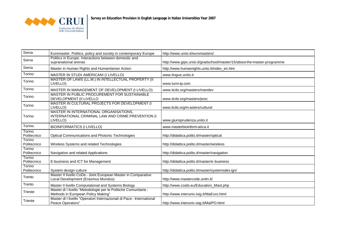

| Siena                 | Euromaster. Politics, policy and society in contemporary Europe                                          | http://www.unisi.it/euromasters/                                         |
|-----------------------|----------------------------------------------------------------------------------------------------------|--------------------------------------------------------------------------|
| Siena                 | Politics in Europe. Interactions between domestic and<br>supranational arenas                            | http://www.gips.unisi.it/gradschool/master/15/about-the-master-programme |
| Siena                 | Master in Human Rights and Humanitarian Action                                                           | http://www.humanrights.unisi.it/index_en.htm                             |
| Torino                | MASTER IN STUDI AMERICANI (I LIVELLO)                                                                    | www.lingue.unito.it                                                      |
| Torino                | MASTER OF LAWS (LL.M.) IN INTELLECTUAL PROPERTY (II<br>LIVELLO)                                          | www.turin-ip.com                                                         |
| Torino                | MASTER IN MANAGEMENT OF DEVELOPMENT (I LIVELLO)                                                          | www.itcilo.org/masters/mandev                                            |
| Torino                | MASTER IN PUBLIC PROCUREMENT FOR SUSTAINABLE<br>DEVELOPMENT (II LIVELLO                                  | www.itcilo.org/masters/proc                                              |
| Torino                | MASTER IN CULTURAL PROJECTS FOR DEVELOPMENT (I<br>LIVELLO)                                               | www.itcilo.org/masters/cultural                                          |
| Torino                | MASTER IN INTERNATIONAL ORGANISATIONS,<br>INTERNATIONAL CRIMINAL LAW AND CRIME PREVENTION (I<br>LIVELLO) | www.giurisprudenza.unito.it                                              |
| Torino                | <b>BIOINFORMATICS (I LIVELLO)</b>                                                                        | www.masterbioinform atica.it                                             |
| Torino<br>Politecnico | <b>Optical Communications and Photonic Technologies</b>                                                  | http://didattica.polito.it/master/optical                                |
| Torino<br>Politecnico | Wireless Systems and related Technologies                                                                | http://didattica.polito.it/master/wireless                               |
| Torino<br>Politecnico | Navigation and related Applications                                                                      | http://didattica.polito.it/master/navigation                             |
| Torino<br>Politecnico | E-business and ICT for Management                                                                        | http://didattica.polito.it/master/e-business                             |
| Torino<br>Politecnico | System design culture                                                                                    | http://didattica.polito.it/master/systemsdesign/                         |
| Trento                | Master II livello CoDe - Joint European Master in Comparative<br>Local Development (Erasmus Mundus)      | http://www.mastercode.unitn.it/                                          |
| Trento                | Master II livello Computational and Systems Biology                                                      | http://www.cosbi.eu/Education_Mast.php                                   |
| Trieste               | Master di I livello "Metodologie per le Politiche Comunitarie -<br>Methods in European Policy Making"    | http://www.interuniv.isig.it/MaEuro.html                                 |
| Trieste               | Master di I livello "Operatori Internazionali di Pace - International<br>Peace Operators"                | http://www.interuniv.isig.it/MaIPO.html                                  |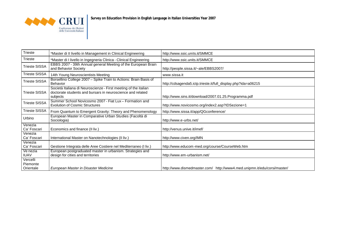

| Trieste                           | *Master di II livello in Management in Clinical Engineering                                                                               | http://www.ssic.units.it/SMMCE                                           |
|-----------------------------------|-------------------------------------------------------------------------------------------------------------------------------------------|--------------------------------------------------------------------------|
| Trieste                           | *Master di I livello in Ingegneria Clinica - Clinical Engineering                                                                         | http://www.ssic.units.it/SMMCE                                           |
| <b>Trieste SISSA</b>              | EBBS 2007 - 39th Annual general Meeting of the European Brain<br>and Behavior Society                                                     | http://people.sissa.it/~ale/EBBS2007/                                    |
| <b>Trieste SISSA</b>              | 14th Young Neuroscientists Meeting                                                                                                        | www.sissa.it                                                             |
| <b>Trieste SISSA</b>              | Borsellino College 2007 - Spike Train to Actions: Brain Basis of<br><b>Behavior</b>                                                       | http://cdsagenda5.ictp.trieste.it/full_display.php?ida=a06215            |
| <b>Trieste SISSA</b>              | Società Italiana di Neuroscienze - First meeting of the italian<br>doctorate students and bursars in neuroscience and related<br>subjects | http://www.sins.it/download/2007.01.25.Programma.pdf                     |
| <b>Trieste SISSA</b>              | Summer School Novicosmo 2007 - Fiat Lux - Formation and<br><b>Evolution of Cosmic Structures</b>                                          | http://www.novicosmo.org/index2.asp?IDSezione=1                          |
| <b>Trieste SISSA</b>              | From Quantum to Emergent Gravity: Theory and Phenomenology                                                                                | http://www.sissa.it/app/QGconference/                                    |
| Urbino                            | European Master in Comparative Urban Studies (Facoltà di<br>Sociologia)                                                                   | http://www.e-urbs.net/                                                   |
| Venezia<br>Ca' Foscari            | Economics and finance (II liv.)                                                                                                           | http://venus.unive.it/imef/                                              |
| Venezia<br>Ca' Foscari            | International Master on Nanotechnologies (II liv.)                                                                                        | http://www.civen.org/IMN                                                 |
| Venezia<br>Ca' Foscari            | Gestione Integrata delle Aree Costiere nel Mediterraneo (I liv.)                                                                          | http://www.educom-med.org/course/CourseWeb.htm                           |
| Ve nezia<br><b>IUAV</b>           | European postgraduated master in urbanism. Strategies and<br>design for cities and territories                                            | http://www.em-urbanism.net/                                              |
| Vercelli<br>Piemonte<br>Orientale | European Master in Disaster Medicine                                                                                                      | http://www.dismedmaster.com/ http://www4.med.unipmn.it/edu/corsi/master/ |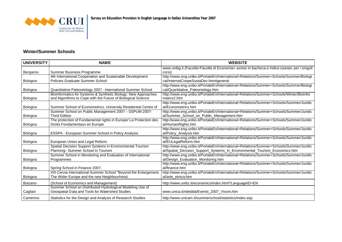

#### **Winter/Summer Schools**

| <b>UNIVERSITY</b> | <b>NAME</b>                                                       | <b>WEBSITE</b>                                                                              |
|-------------------|-------------------------------------------------------------------|---------------------------------------------------------------------------------------------|
|                   |                                                                   | www.unibg.it (Facoltà>Facoltà di Economia> avviso in bacheca e indice courses per i singoli |
| Bergamo           | Summer Business Programme                                         | corsi)                                                                                      |
|                   | 4th International Cooperation and Sustainable Development         | http://www.eng.unibo.it/PortaleEn/International+Relations/Summer+Schools/Summer/Biologi     |
| Bologna           | Policies Graduate Summer School                                   | cal/InternatCoopeSustaDev.htm#general                                                       |
|                   |                                                                   | http://www.eng.unibo.it/PortaleEn/International+Relations/Summer+Schools/Summer/Biologi     |
| Bologna           | Quantitative Paleontology 2007 - International Summer School      | cal/Quantitative_Paleontology.htm                                                           |
|                   | Bioinformatics for Systems & Synthetic Biology: New Approaches    | http://www.eng.unibo.it/PortaleEn/International+Relations/Summer+Schools/Winter/Bioinfor    |
| Bologna           | and Algorithms to Cope with the Future of Biological Science      | matics2.htm                                                                                 |
|                   |                                                                   | http://www.eng.unibo.it/PortaleEn/International+Relations/Summer+Schools/Summer/Juridic     |
| Bologna           | Summer School of Econometrics, University Residential Centre of   | al/Econometrics.htm                                                                         |
|                   | Summer School on Public Management 2007 - SSPUM 2007-             | http://www.eng.unibo.it/PortaleEn/International+Relations/Summer+Schools/Summer/Juridic     |
| Bologna           | <b>Third Edition</b>                                              | al/Summer_School_on_Public_Management.htm                                                   |
|                   | The protection of Fundamental rights in Europe/ La Protection des | http://www.eng.unibo.it/PortaleEn/International+Relations/Summer+Schools/Summer/Juridic     |
| Bologna           | Droits Fondamentaux en Europe                                     | al/HumanRights.htm                                                                          |
|                   |                                                                   | http://www.eng.unibo.it/PortaleEn/International+Relations/Summer+Schools/Summer/Juridic     |
| Bologna           | ESSPA - European Summer School in Policy Analysis                 | al/Policy_Analysis.htm                                                                      |
|                   |                                                                   | http://www.eng.unibo.it/PortaleEn/International+Relations/Summer+Schools/Summer/Juridic     |
| Bologna           | European Union and Legal Reform                                   | al/EULegalReform.htm                                                                        |
|                   | Spatial Decision Support Systems in Environmental Tourism         | http://www.eng.unibo.it/PortaleEn/International+Relations/Summer+Schools/Summer/Juridic     |
| Bologna           | Planning-Summer School in Tourism                                 | al/Spatial_Decision_Support_Systems_in_Environmental_Tourism_Economics.htm                  |
|                   | Summer School in Monitoring and Evaluation of International       | http://www.eng.unibo.it/PortaleEn/International+Relations/Summer+Schools/Summer/Juridic     |
| Bologna           | Programmes                                                        | al/Design_Evaluation_Monitoring.htm                                                         |
|                   |                                                                   | http://www.eng.unibo.it/PortaleEn/International+Relations/Summer+Schools/Summer/Juridic     |
| Bologna           | Spring School in Finance 2007,                                    | al/finance.htm                                                                              |
|                   | XIII Cervia International Summer School "Beyond the Enlargement.  | http://www.eng.unibo.it/PortaleEn/International+Relations/Summer+Schools/Summer/Juridic     |
| Bologna           | The Wider Europe and the new Neighbourhood,                       | al/arte_etnica.htm                                                                          |
| Bolzano           | (School of Economics and Management)                              | http://www.unibz.it/economics/index.html?LanguageID=EN                                      |
|                   | Summer School on Distributed Hydrological Modeling Use of         |                                                                                             |
| Cagliari          | Geospatial Data and Tools for Watershed Studies                   | www.unica.it/rdeidda/Events_2007_Vivoni.htm                                                 |
| Camerino          | Statistics for the Design and Analysis of Research Studies        | http://www.unicam.it/summerschool/statistics/index.asp                                      |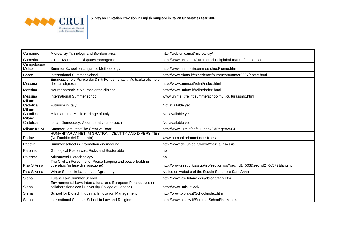

| Camerino             | Microarray Tchnology and Bionformatics                                                                               | http://web.unicam.it/microarray/                                        |
|----------------------|----------------------------------------------------------------------------------------------------------------------|-------------------------------------------------------------------------|
| Camerino             | Global Market and Disputes management                                                                                | http://www.unicam.it/summerschool/global-market/index.asp               |
| Campobasso<br>Molise | Summer School on Linguistic Methodology                                                                              | http://www.unimol.it/summerschool/home.htm                              |
| Lecce                | International Summer School                                                                                          | http://www.ebms.it/experience/summer/summer2007/home.html               |
| Messina              | Enunciazione e Pratica dei Diritti Fondamentali : Multiculturalismo e<br>libertà religiosa                           | http://www.unime.it/relint/index.html                                   |
| Messina              | Neuroanatomie e Neuroscienze cliniche                                                                                | http://www.unime.it/relint/index.html                                   |
| Messina              | International Summer school                                                                                          | www.unime.it/relint/summerschoolmulticulturalismo.html                  |
| Milano<br>Cattolica  | Futurism in Italy                                                                                                    | Not available yet                                                       |
| Milano<br>Cattolica  | Milan and the Music Heritage of Italy                                                                                | Not available yet                                                       |
| Milano<br>Cattolica  | Italian Democracy: A comparative approach                                                                            | Not available yet                                                       |
| Milano IULM          | Summer Lectures "The Creative Boot"                                                                                  | http://www.iulm.it/default.aspx?idPage=2964                             |
| Padova               | HUMANITARIANNET: MIGRATION, IDENTITY AND DIVERSITIES<br>(Nell'ambito del Dottorato)                                  | www.humanitariannet.deusto.es/                                          |
| Padova               | Summer school in information engineering                                                                             | http://www.dei.unipd.it/wdyn/?sez_alias=ssie                            |
| Palermo              | Geological Resources, Risks and Sustenable                                                                           | no                                                                      |
| Palermo              | Advancend Biotechnology                                                                                              | no                                                                      |
| Pisa S.Anna          | The Civilian Personnel of Peace-keeping and peace-building<br>operatios (in fase di erogazione)                      | http://www.sssup.it/sssup/jsp/section.jsp?sec_id1=503&sec_id2=66572⟨=it |
| Pisa S.Anna          | Winter School in Landscape Agronomy                                                                                  | Notice on website of the Scuola Superiore Sant'Anna                     |
| Siena                | Tulane Law Summer School                                                                                             | http://www.law.tulane.edu/abroad/italy.cfm                              |
| Siena                | Environmental Law: International and European Perspectives (in<br>collaborazione con l'University College of London) | http://www.unisi.it/ieel/                                               |
| Siena                | School for Biotech Industrial Innovation Management                                                                  | http://www.biolaw.it/School/index.htm                                   |
| Siena                | International Summer School in Law and Religion                                                                      | http://www.biolaw.it/SummerSchool/index.htm                             |